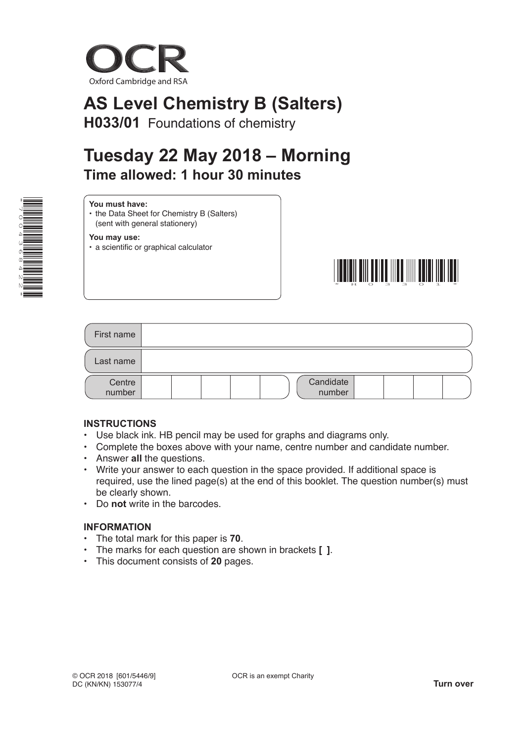

# **AS Level Chemistry B (Salters)**

**H033/01** Foundations of chemistry

## **Tuesday 22 May 2018 – Morning Time allowed: 1 hour 30 minutes**

| y. |                          |
|----|--------------------------|
| √≣ | ≒                        |
| O  |                          |
| C  |                          |
|    | $\equiv$                 |
| ω  | ▊                        |
| Ő  |                          |
|    | <u>e in de la popula</u> |
|    |                          |
|    | N <del>≡≡</del>          |
|    | ≡<br>ℕ<br>≡              |
| ⊁i |                          |

|--|

• the Data Sheet for Chemistry B (Salters) (sent with general stationery)

**You may use:**

• a scientific or graphical calculator



| First name       |                     |
|------------------|---------------------|
| Last name        |                     |
| Centre<br>number | Candidate<br>number |

#### **INSTRUCTIONS**

- Use black ink. HB pencil may be used for graphs and diagrams only.
- Complete the boxes above with your name, centre number and candidate number.
- Answer **all** the questions.
- Write your answer to each question in the space provided. If additional space is required, use the lined page(s) at the end of this booklet. The question number(s) must be clearly shown.
- Do **not** write in the barcodes.

#### **INFORMATION**

- The total mark for this paper is **70**.
- The marks for each question are shown in brackets **[ ]**.
- This document consists of **20** pages.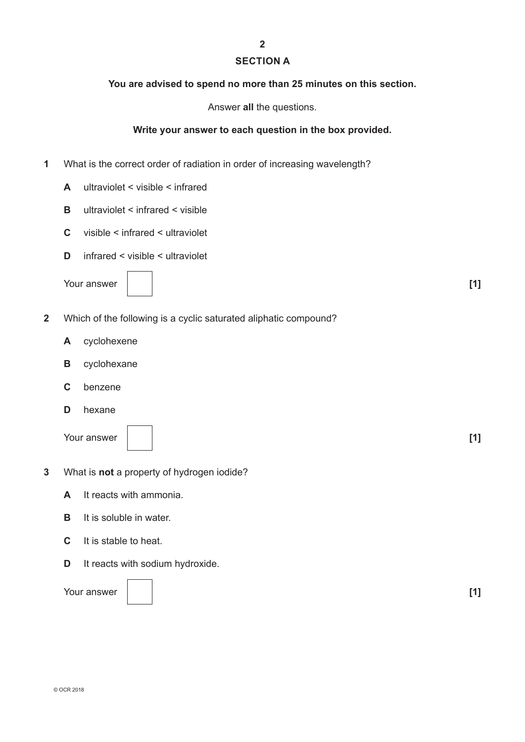### **SECTION A**

**2**

#### **You are advised to spend no more than 25 minutes on this section.**

Answer **all** the questions.

#### **Write your answer to each question in the box provided.**

- **1** What is the correct order of radiation in order of increasing wavelength?
	- **A** ultraviolet < visible < infrared
	- **B** ultraviolet < infrared < visible
	- **C** visible < infrared < ultraviolet
	- **D** infrared < visible < ultraviolet

Your answer **[1] [1]** 

| $\overline{\phantom{a}}$ |  |
|--------------------------|--|
|                          |  |
|                          |  |

- **2** Which of the following is a cyclic saturated aliphatic compound?
	- **A** cyclohexene
	- **B** cyclohexane
	- **C** benzene
	- **D** hexane

Your answer **[1] [1]** 



**3** What is **not** a property of hydrogen iodide?

- **A** It reacts with ammonia.
- **B** It is soluble in water.
- **C** It is stable to heat.
- **D** It reacts with sodium hydroxide.

Your answer **[1] [1]** 

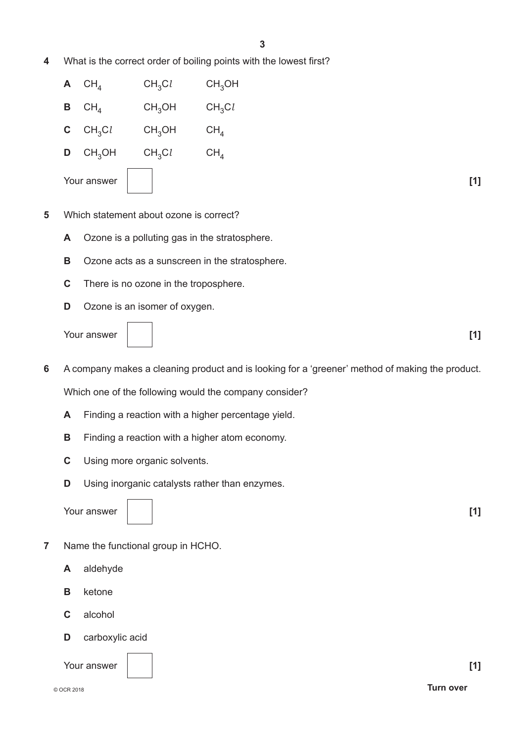**4** What is the correct order of boiling points with the lowest first?

| $A$ CH <sub>4</sub>    | CH <sub>3</sub> Cl | CH <sub>3</sub> OH |       |
|------------------------|--------------------|--------------------|-------|
| $B$ CH <sub>4</sub>    | CH <sub>3</sub> OH | CH <sub>3</sub> Cl |       |
| <b>C</b> $CH_3Cl$      | CH <sub>3</sub> OH | CH <sub>4</sub>    |       |
| $D$ CH <sub>3</sub> OH | CH <sub>3</sub> Cl | CH <sub>4</sub>    |       |
| Your answer            |                    |                    | $[1]$ |

- **5** Which statement about ozone is correct?
	- **A** Ozone is a polluting gas in the stratosphere.
	- **B** Ozone acts as a sunscreen in the stratosphere.
	- **C** There is no ozone in the troposphere.
	- **D** Ozone is an isomer of oxygen.

Your answer **[1] [1]** 



- **6** A company makes a cleaning product and is looking for a 'greener' method of making the product. Which one of the following would the company consider?
	- **A** Finding a reaction with a higher percentage yield.
	- **B** Finding a reaction with a higher atom economy.
	- **C** Using more organic solvents.
	- **D** Using inorganic catalysts rather than enzymes.

Your answer **11 c l** 

- **7** Name the functional group in HCHO.
	- **A** aldehyde
	- **B** ketone
	- **C** alcohol
	- **D** carboxylic acid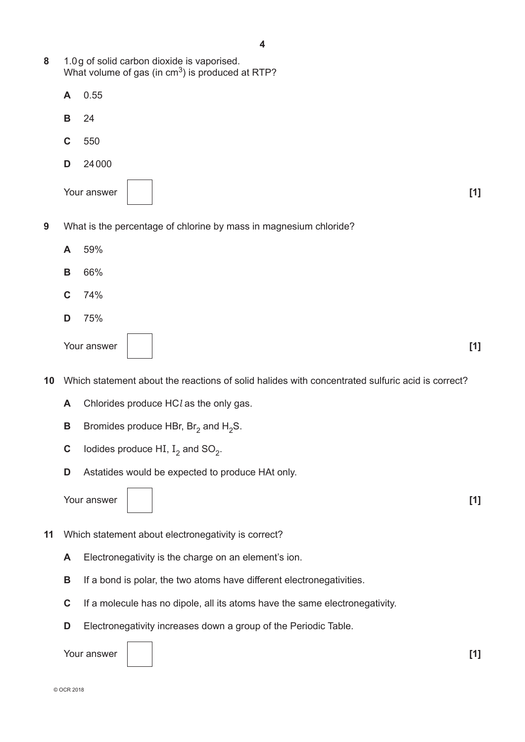- **8** 1.0g of solid carbon dioxide is vaporised. What volume of gas (in  $cm<sup>3</sup>$ ) is produced at RTP?
	- **A** 0.55
	- **B** 24
	- **C** 550
	- **D** 24000
	- Your answer **[1] [1] [1]**



- **9** What is the percentage of chlorine by mass in magnesium chloride?
	- **A** 59%
	- **B** 66%
	- **C** 74%
	- **D** 75%

| Your answer |  | <b>741</b> |
|-------------|--|------------|
|-------------|--|------------|

- **10** Which statement about the reactions of solid halides with concentrated sulfuric acid is correct?
	- **A** Chlorides produce HC*l* as the only gas.
	- **B** Bromides produce HBr,  $Br_2$  and  $H_2S$ .
	- **C** Iodides produce HI,  $I_2$  and SO<sub>2</sub>.
	- **D** Astatides would be expected to produce HAt only.

Your answer **[1]**

- **11** Which statement about electronegativity is correct?
	- **A** Electronegativity is the charge on an element's ion.
	- **B** If a bond is polar, the two atoms have different electronegativities.
	- **C** If a molecule has no dipole, all its atoms have the same electronegativity.
	- **D** Electronegativity increases down a group of the Periodic Table.

Your answer **[1] [1] [1]**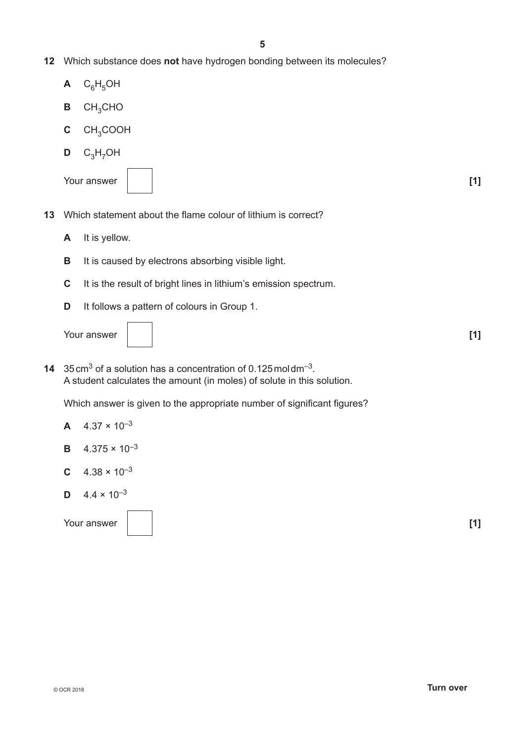- **12** Which substance does **not** have hydrogen bonding between its molecules?
	- $A$   $C_6H_5OH$
	- **B** CH3CHO
	- **C** CH3COOH
	- $D$  C<sub>3</sub>H<sub>7</sub>OH

| Your answer | $\mathsf{I}1^{\mathsf{T}}$ |
|-------------|----------------------------|
|-------------|----------------------------|



- **13** Which statement about the flame colour of lithium is correct?
	- **A** It is yellow.
	- **B** It is caused by electrons absorbing visible light.
	- **C** It is the result of bright lines in lithium's emission spectrum.
	- **D** It follows a pattern of colours in Group 1.

Your answer **[1] [1] [1]** 



**14** 35cm3 of a solution has a concentration of 0.125moldm–3. A student calculates the amount (in moles) of solute in this solution.

Which answer is given to the appropriate number of significant figures?

- **A**  $4.37 \times 10^{-3}$
- **B**  $4.375 \times 10^{-3}$
- **C**  $4.38 \times 10^{-3}$
- **D**  $4.4 \times 10^{-3}$

Your answer **[1] [1] [1]**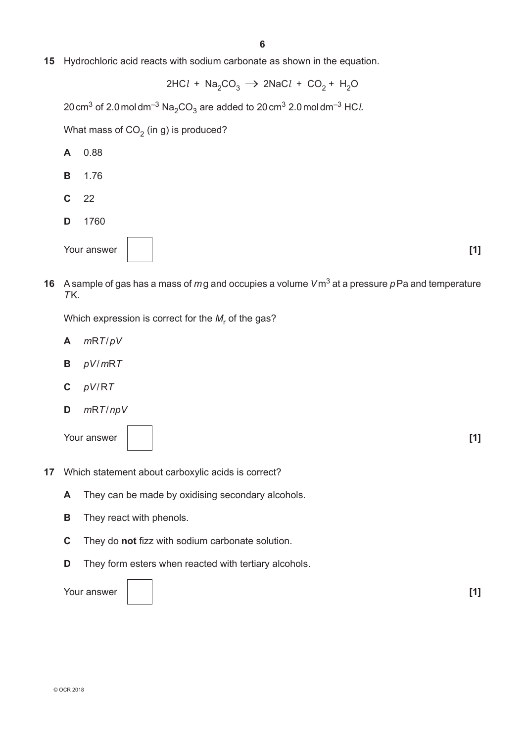**15** Hydrochloric acid reacts with sodium carbonate as shown in the equation.

$$
2HCl + Na_2CO_3 \rightarrow 2NaCl + CO_2 + H_2O
$$

 $20 \text{ cm}^3$  of 2.0 moldm<sup>-3</sup> Na<sub>2</sub>CO<sub>3</sub> are added to 20 cm<sup>3</sup> 2.0 moldm<sup>-3</sup> HC*l*.

What mass of  $CO<sub>2</sub>$  (in g) is produced?

- **A** 0.88
- **B** 1.76
- **C** 22
- **D** 1760



**16** A sample of gas has a mass of *m*g and occupies a volume *V*m3 at a pressure *p*Pa and temperature *T*K.

Which expression is correct for the  $M_{_{\mathsf{F}}}$  of the gas?

- **A** *m*R*T*/*pV*
- **B** *pV*/*m*R*T*
- **C** *pV*/R*T*
- **D** *m*R*T*/*npV*

Your answer **[1] [1]** 



- **17** Which statement about carboxylic acids is correct?
	- **A** They can be made by oxidising secondary alcohols.
	- **B** They react with phenols.
	- **C** They do **not** fizz with sodium carbonate solution.
	- **D** They form esters when reacted with tertiary alcohols.

Your answer **[1] [1]** 

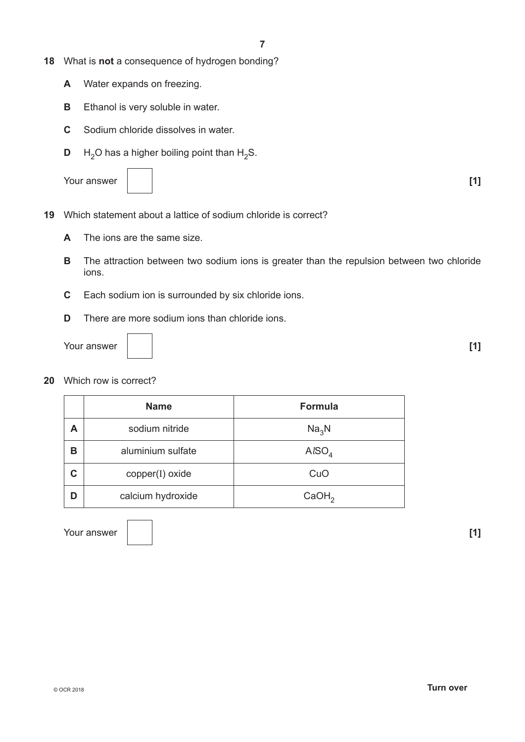- **18** What is **not** a consequence of hydrogen bonding?
	- **A** Water expands on freezing.
	- **B** Ethanol is very soluble in water.
	- **C** Sodium chloride dissolves in water.
	- **D**  $H_2O$  has a higher boiling point than  $H_2S$ .





- **19** Which statement about a lattice of sodium chloride is correct?
	- **A** The ions are the same size.
	- **B** The attraction between two sodium ions is greater than the repulsion between two chloride ions.
	- **C** Each sodium ion is surrounded by six chloride ions.
	- **D** There are more sodium ions than chloride ions.

Your answer **[1] [1] [1]** 

**20** Which row is correct?

|   | <b>Name</b>       | <b>Formula</b>    |
|---|-------------------|-------------------|
| А | sodium nitride    | Na <sub>3</sub> N |
| В | aluminium sulfate | AISO <sub>4</sub> |
| C | copper(I) oxide   | CuO               |
| D | calcium hydroxide | CaOH <sub>2</sub> |

Your answer **[1] [1]**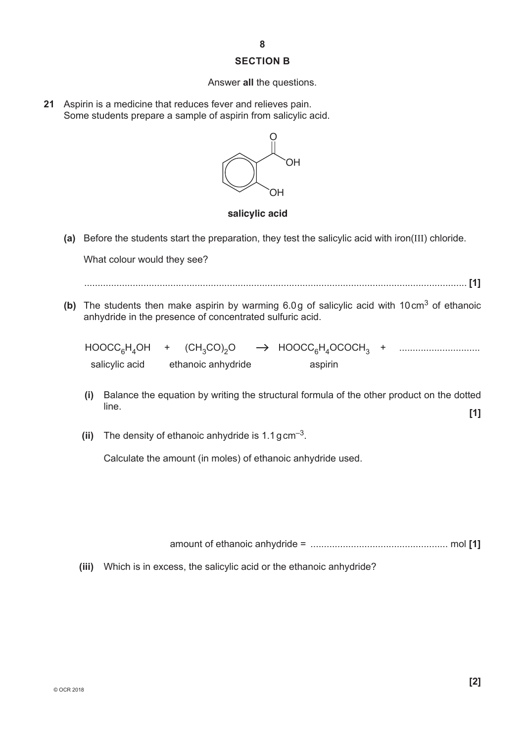#### **SECTION B**

#### Answer **all** the questions.

**21** Aspirin is a medicine that reduces fever and relieves pain. Some students prepare a sample of aspirin from salicylic acid.



#### **salicylic acid**

**(a)** Before the students start the preparation, they test the salicylic acid with iron(III) chloride.

What colour would they see?

.............................................................................................................................................. **[1]**

**(b)** The students then make aspirin by warming 6.0g of salicylic acid with 10cm3 of ethanoic anhydride in the presence of concentrated sulfuric acid.

| $HOOCC_6H_4OH$ + $(CH_3CO)_2O$ |                    | $\rightarrow$ HOOCC <sub>6</sub> H <sub>4</sub> OCOCH <sub>3</sub> + |  |
|--------------------------------|--------------------|----------------------------------------------------------------------|--|
| salicylic acid                 | ethanoic anhydride | aspirin                                                              |  |

- **(i)** Balance the equation by writing the structural formula of the other product on the dotted line. **[1]**
- **(ii)** The density of ethanoic anhydride is 1.1gcm–3.

Calculate the amount (in moles) of ethanoic anhydride used.

amount of ethanoic anhydride = ................................................... mol **[1]**

 **(iii)** Which is in excess, the salicylic acid or the ethanoic anhydride?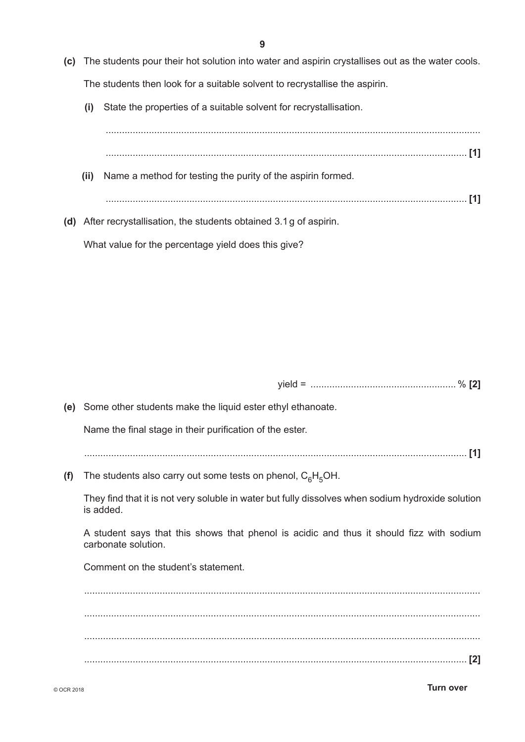- **(c)** The students pour their hot solution into water and aspirin crystallises out as the water cools. The students then look for a suitable solvent to recrystallise the aspirin.
	- **(i)** State the properties of a suitable solvent for recrystallisation.

What value for the percentage yield does this give?

| (ii) | Name a method for testing the purity of the aspirin formed.          |  |
|------|----------------------------------------------------------------------|--|
|      |                                                                      |  |
|      | (d) After recrystallisation, the students obtained 3.1 g of aspirin. |  |

yield = ...................................................... % **[2]**

**(e)** Some other students make the liquid ester ethyl ethanoate. Name the final stage in their purification of the ester. .............................................................................................................................................. **[1] (f)** The students also carry out some tests on phenol,  $C_6H_5OH$ . They find that it is not very soluble in water but fully dissolves when sodium hydroxide solution is added. A student says that this shows that phenol is acidic and thus it should fizz with sodium carbonate solution. Comment on the student's statement. ................................................................................................................................................... ................................................................................................................................................... ...................................................................................................................................................

.............................................................................................................................................. **[2]**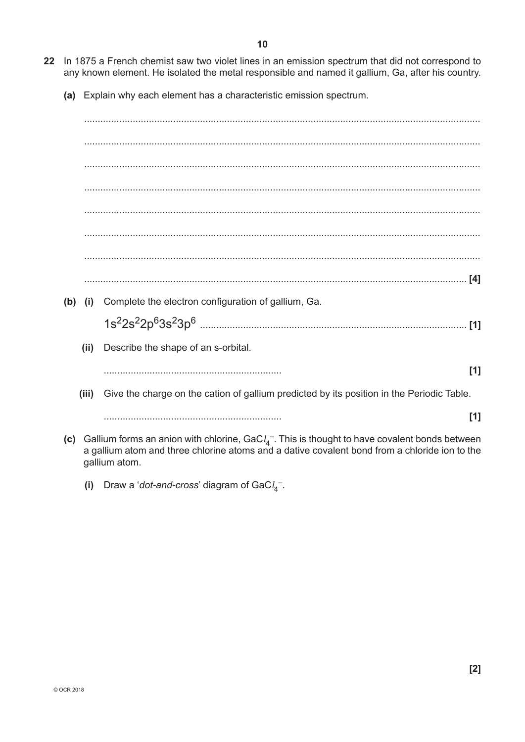- 22 In 1875 a French chemist saw two violet lines in an emission spectrum that did not correspond to any known element. He isolated the metal responsible and named it gallium, Ga, after his country.
	- (a) Explain why each element has a characteristic emission spectrum.

(b) (i) Complete the electron configuration of gallium, Ga. Describe the shape of an s-orbital.  $(ii)$  $[1]$ Give the charge on the cation of gallium predicted by its position in the Periodic Table.  $(iii)$  $[1]$ (c) Gallium forms an anion with chlorine, GaC $l_4$ <sup>-</sup>. This is thought to have covalent bonds between

- a gallium atom and three chlorine atoms and a dative covalent bond from a chloride ion to the gallium atom.
	- $(i)$ Draw a 'dot-and-cross' diagram of  $GaCl<sub>4</sub>$ .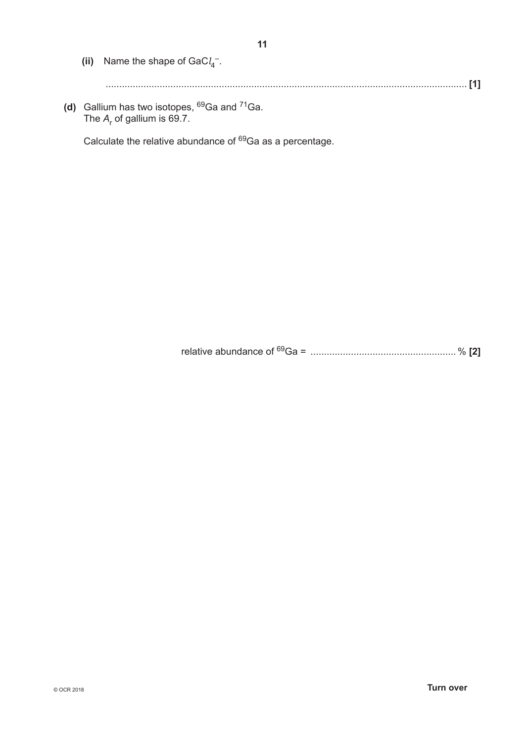| (ii) Name the shape of $GaCl4-$ .                        |
|----------------------------------------------------------|
|                                                          |
| (d) Gallium has two isotopes, $^{69}$ Ga and $^{71}$ Ga. |

The  $A_r$  of gallium is 69.7.

Calculate the relative abundance of 69Ga as a percentage.

relative abundance of 69Ga = ...................................................... % **[2]**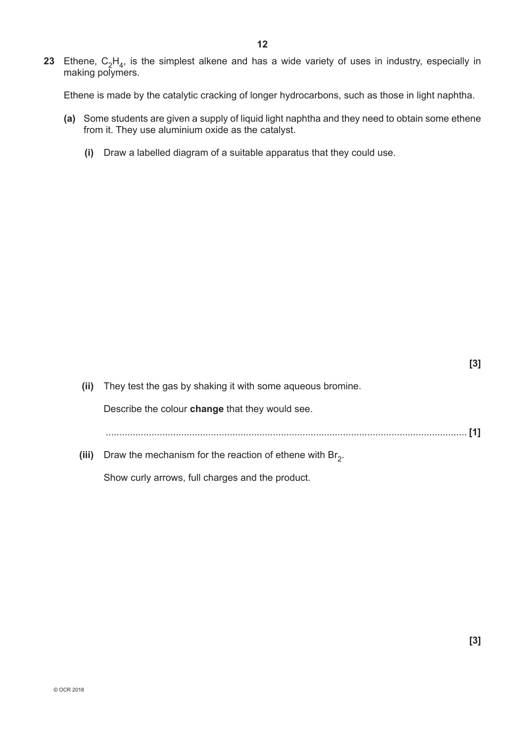**23** Ethene,  $C_2H_4$ , is the simplest alkene and has a wide variety of uses in industry, especially in making polymers.

Ethene is made by the catalytic cracking of longer hydrocarbons, such as those in light naphtha.

- **(a)** Some students are given a supply of liquid light naphtha and they need to obtain some ethene from it. They use aluminium oxide as the catalyst.
	- **(i)** Draw a labelled diagram of a suitable apparatus that they could use.

|       |                                                             | [3] |
|-------|-------------------------------------------------------------|-----|
| (ii)  | They test the gas by shaking it with some aqueous bromine.  |     |
|       | Describe the colour <b>change</b> that they would see.      |     |
|       |                                                             |     |
| (iii) | Draw the mechanism for the reaction of ethene with $Br_2$ . |     |
|       |                                                             |     |

Show curly arrows, full charges and the product.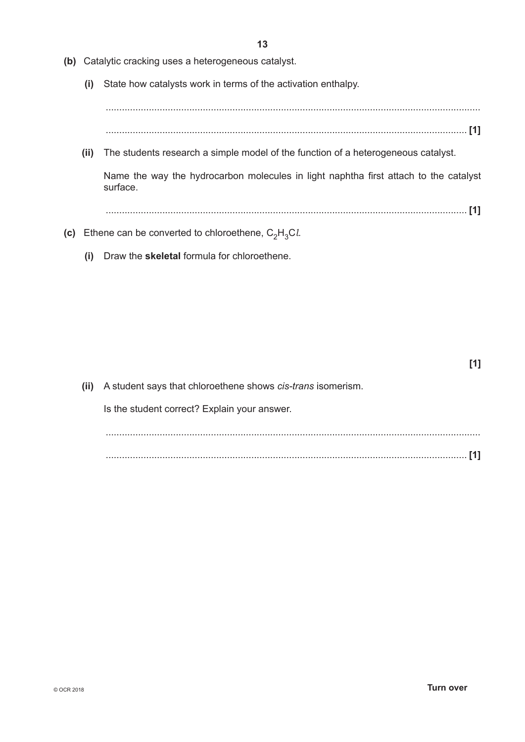- **(b)** Catalytic cracking uses a heterogeneous catalyst.
	- **(i)** State how catalysts work in terms of the activation enthalpy.

........................................................................................................................................... ...................................................................................................................................... **[1]**

 **(ii)** The students research a simple model of the function of a heterogeneous catalyst.

Name the way the hydrocarbon molecules in light naphtha first attach to the catalyst surface.

...................................................................................................................................... **[1]**

- **(c)** Ethene can be converted to chloroethene,  $C_2H_3Cl$ .
	- **(i)** Draw the **skeletal** formula for chloroethene.

| (ii) A student says that chloroethene shows <i>cis-trans</i> isomerism. |  |
|-------------------------------------------------------------------------|--|
| Is the student correct? Explain your answer.                            |  |
|                                                                         |  |
|                                                                         |  |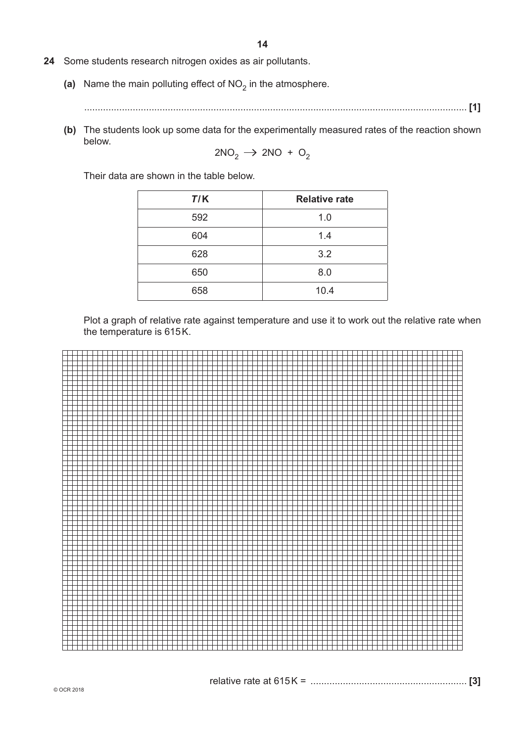- **24** Some students research nitrogen oxides as air pollutants.
	- (a) Name the main polluting effect of  $NO<sub>2</sub>$  in the atmosphere.
		- .............................................................................................................................................. **[1]**
	- **(b)** The students look up some data for the experimentally measured rates of the reaction shown below.

$$
2NO_2 \rightarrow 2NO + O_2
$$

Their data are shown in the table below.

| T/K | <b>Relative rate</b> |
|-----|----------------------|
| 592 | 1.0                  |
| 604 | 1.4                  |
| 628 | 3.2                  |
| 650 | 8.0                  |
| 658 | 10.4                 |

Plot a graph of relative rate against temperature and use it to work out the relative rate when the temperature is 615K.

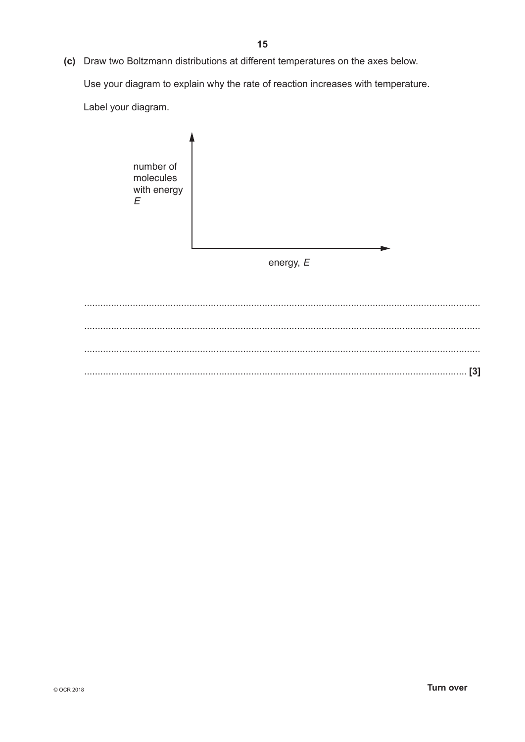Use your diagram to explain why the rate of reaction increases with temperature.

Label your diagram.

number of molecules with energy  $\boldsymbol{E}$ energy,  $E$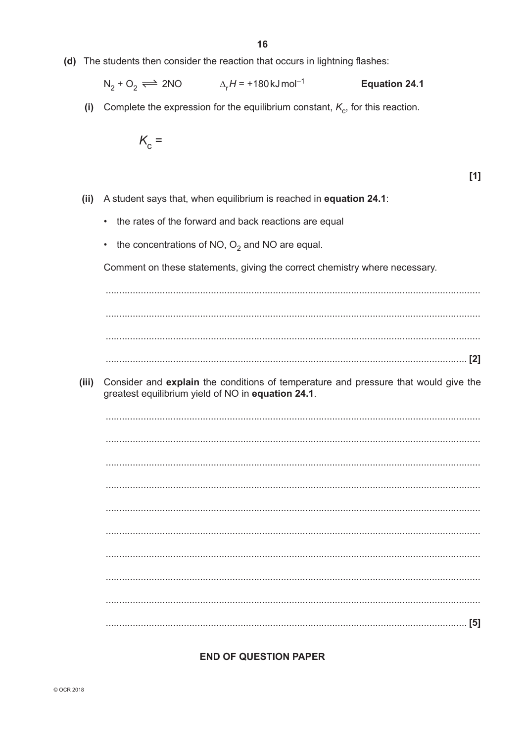(d) The students then consider the reaction that occurs in lightning flashes:

$$
N_2 + O_2 \rightleftharpoons 2NO
$$
  $\Delta_r H = +180 \text{ kJ} \text{mol}^{-1}$  **Equation 24.1**

(i) Complete the expression for the equilibrium constant,  $K_c$ , for this reaction.

$$
K_{\rm c} =
$$

 $[1]$ 

- (ii) A student says that, when equilibrium is reached in equation 24.1:
	- the rates of the forward and back reactions are equal
	- the concentrations of NO,  $O_2$  and NO are equal.

Comment on these statements, giving the correct chemistry where necessary.

Consider and explain the conditions of temperature and pressure that would give the  $(iii)$ greatest equilibrium yield of NO in equation 24.1.

#### **END OF QUESTION PAPER**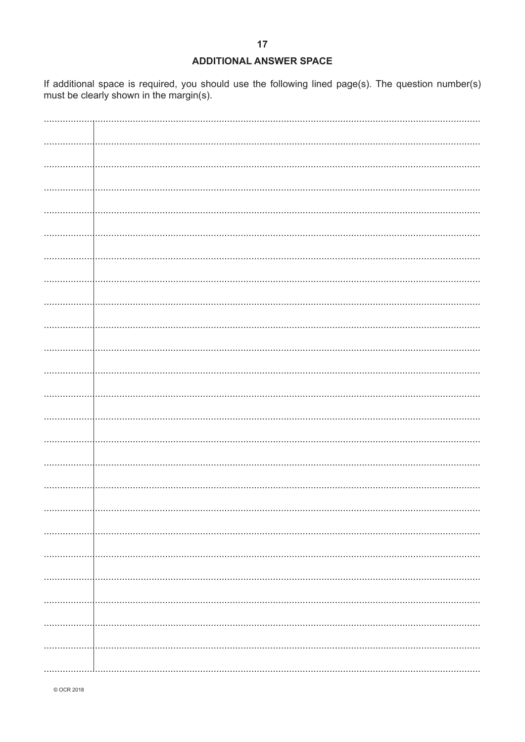#### **ADDITIONAL ANSWER SPACE**

If additional space is required, you should use the following lined page(s). The question number(s) must be clearly shown in the margin(s).

© OCR 2018